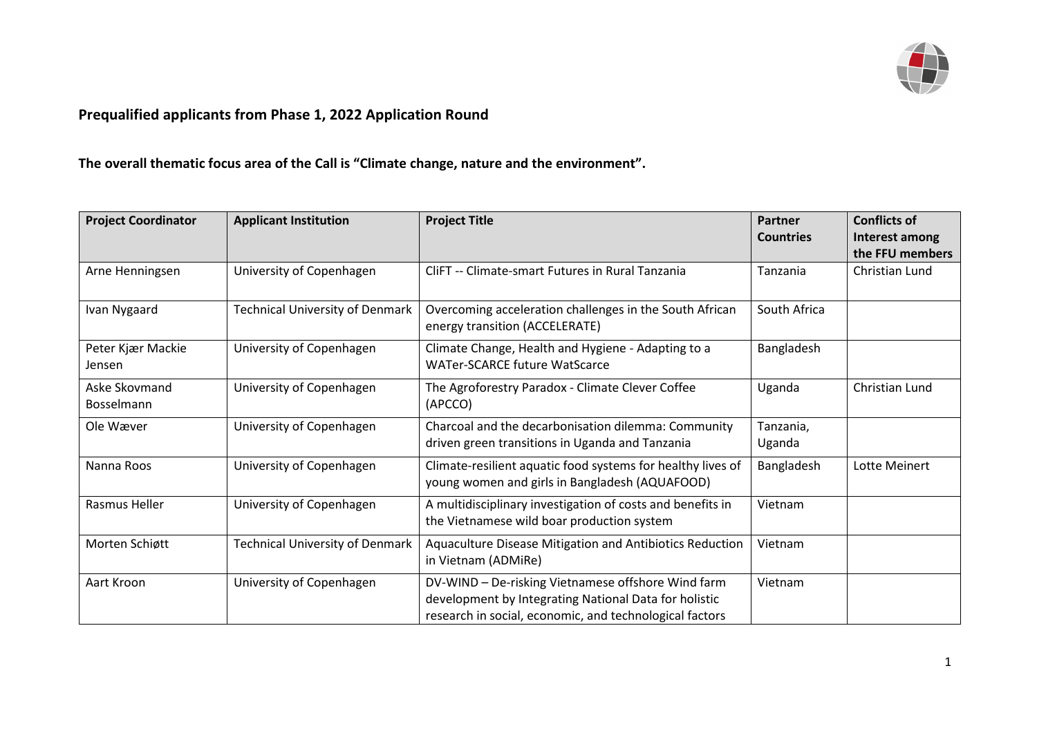

## **Prequalified applicants from Phase 1, 2022 Application Round**

**The overall thematic focus area of the Call is "Climate change, nature and the environment".**

| <b>Project Coordinator</b>  | <b>Applicant Institution</b>           | <b>Project Title</b>                                                                                                                                                   | Partner             | <b>Conflicts of</b> |
|-----------------------------|----------------------------------------|------------------------------------------------------------------------------------------------------------------------------------------------------------------------|---------------------|---------------------|
|                             |                                        |                                                                                                                                                                        | <b>Countries</b>    | Interest among      |
|                             |                                        |                                                                                                                                                                        |                     | the FFU members     |
| Arne Henningsen             | University of Copenhagen               | CliFT -- Climate-smart Futures in Rural Tanzania                                                                                                                       | Tanzania            | Christian Lund      |
| Ivan Nygaard                | <b>Technical University of Denmark</b> | Overcoming acceleration challenges in the South African<br>energy transition (ACCELERATE)                                                                              | South Africa        |                     |
| Peter Kjær Mackie<br>Jensen | University of Copenhagen               | Climate Change, Health and Hygiene - Adapting to a<br><b>WATer-SCARCE future WatScarce</b>                                                                             | Bangladesh          |                     |
| Aske Skovmand<br>Bosselmann | University of Copenhagen               | The Agroforestry Paradox - Climate Clever Coffee<br>(APCCO)                                                                                                            | Uganda              | Christian Lund      |
| Ole Wæver                   | University of Copenhagen               | Charcoal and the decarbonisation dilemma: Community<br>driven green transitions in Uganda and Tanzania                                                                 | Tanzania,<br>Uganda |                     |
| Nanna Roos                  | University of Copenhagen               | Climate-resilient aquatic food systems for healthy lives of<br>young women and girls in Bangladesh (AQUAFOOD)                                                          | Bangladesh          | Lotte Meinert       |
| Rasmus Heller               | University of Copenhagen               | A multidisciplinary investigation of costs and benefits in<br>the Vietnamese wild boar production system                                                               | Vietnam             |                     |
| Morten Schiøtt              | <b>Technical University of Denmark</b> | Aquaculture Disease Mitigation and Antibiotics Reduction<br>in Vietnam (ADMiRe)                                                                                        | Vietnam             |                     |
| Aart Kroon                  | University of Copenhagen               | DV-WIND - De-risking Vietnamese offshore Wind farm<br>development by Integrating National Data for holistic<br>research in social, economic, and technological factors | Vietnam             |                     |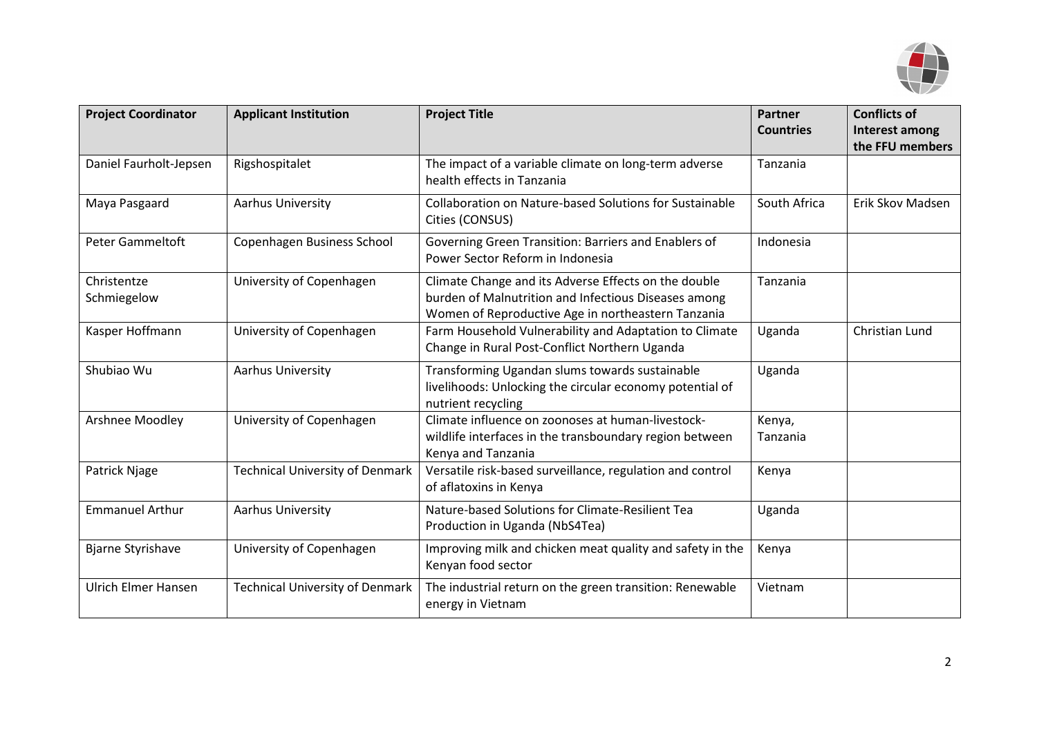

| <b>Project Coordinator</b> | <b>Applicant Institution</b>           | <b>Project Title</b>                                                                                                                                               | <b>Partner</b><br><b>Countries</b> | <b>Conflicts of</b><br>Interest among<br>the FFU members |
|----------------------------|----------------------------------------|--------------------------------------------------------------------------------------------------------------------------------------------------------------------|------------------------------------|----------------------------------------------------------|
| Daniel Faurholt-Jepsen     | Rigshospitalet                         | The impact of a variable climate on long-term adverse<br>health effects in Tanzania                                                                                | Tanzania                           |                                                          |
| Maya Pasgaard              | Aarhus University                      | <b>Collaboration on Nature-based Solutions for Sustainable</b><br>Cities (CONSUS)                                                                                  | South Africa                       | Erik Skov Madsen                                         |
| <b>Peter Gammeltoft</b>    | Copenhagen Business School             | Governing Green Transition: Barriers and Enablers of<br>Power Sector Reform in Indonesia                                                                           | Indonesia                          |                                                          |
| Christentze<br>Schmiegelow | University of Copenhagen               | Climate Change and its Adverse Effects on the double<br>burden of Malnutrition and Infectious Diseases among<br>Women of Reproductive Age in northeastern Tanzania | Tanzania                           |                                                          |
| Kasper Hoffmann            | University of Copenhagen               | Farm Household Vulnerability and Adaptation to Climate<br>Change in Rural Post-Conflict Northern Uganda                                                            | Uganda                             | Christian Lund                                           |
| Shubiao Wu                 | Aarhus University                      | Transforming Ugandan slums towards sustainable<br>livelihoods: Unlocking the circular economy potential of<br>nutrient recycling                                   | Uganda                             |                                                          |
| Arshnee Moodley            | University of Copenhagen               | Climate influence on zoonoses at human-livestock-<br>wildlife interfaces in the transboundary region between<br>Kenya and Tanzania                                 | Kenya,<br>Tanzania                 |                                                          |
| Patrick Njage              | <b>Technical University of Denmark</b> | Versatile risk-based surveillance, regulation and control<br>of aflatoxins in Kenya                                                                                | Kenya                              |                                                          |
| <b>Emmanuel Arthur</b>     | Aarhus University                      | Nature-based Solutions for Climate-Resilient Tea<br>Production in Uganda (NbS4Tea)                                                                                 | Uganda                             |                                                          |
| <b>Bjarne Styrishave</b>   | University of Copenhagen               | Improving milk and chicken meat quality and safety in the<br>Kenyan food sector                                                                                    | Kenya                              |                                                          |
| <b>Ulrich Elmer Hansen</b> | <b>Technical University of Denmark</b> | The industrial return on the green transition: Renewable<br>energy in Vietnam                                                                                      | Vietnam                            |                                                          |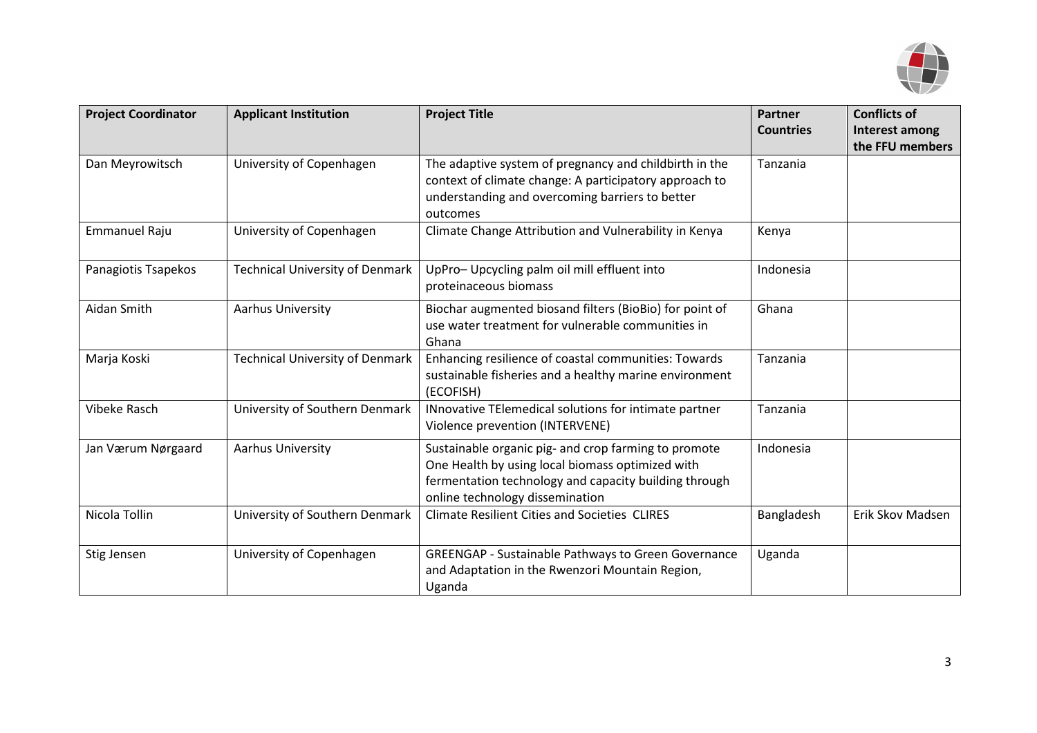

| <b>Project Coordinator</b> | <b>Applicant Institution</b>           | <b>Project Title</b>                                                                                                                                                                                 | <b>Partner</b><br><b>Countries</b> | <b>Conflicts of</b><br><b>Interest among</b><br>the FFU members |
|----------------------------|----------------------------------------|------------------------------------------------------------------------------------------------------------------------------------------------------------------------------------------------------|------------------------------------|-----------------------------------------------------------------|
| Dan Meyrowitsch            | University of Copenhagen               | The adaptive system of pregnancy and childbirth in the<br>context of climate change: A participatory approach to<br>understanding and overcoming barriers to better<br>outcomes                      | Tanzania                           |                                                                 |
| Emmanuel Raju              | University of Copenhagen               | Climate Change Attribution and Vulnerability in Kenya                                                                                                                                                | Kenya                              |                                                                 |
| Panagiotis Tsapekos        | <b>Technical University of Denmark</b> | UpPro- Upcycling palm oil mill effluent into<br>proteinaceous biomass                                                                                                                                | Indonesia                          |                                                                 |
| Aidan Smith                | Aarhus University                      | Biochar augmented biosand filters (BioBio) for point of<br>use water treatment for vulnerable communities in<br>Ghana                                                                                | Ghana                              |                                                                 |
| Marja Koski                | <b>Technical University of Denmark</b> | Enhancing resilience of coastal communities: Towards<br>sustainable fisheries and a healthy marine environment<br>(ECOFISH)                                                                          | Tanzania                           |                                                                 |
| Vibeke Rasch               | University of Southern Denmark         | INnovative TElemedical solutions for intimate partner<br>Violence prevention (INTERVENE)                                                                                                             | Tanzania                           |                                                                 |
| Jan Værum Nørgaard         | Aarhus University                      | Sustainable organic pig- and crop farming to promote<br>One Health by using local biomass optimized with<br>fermentation technology and capacity building through<br>online technology dissemination | Indonesia                          |                                                                 |
| Nicola Tollin              | University of Southern Denmark         | <b>Climate Resilient Cities and Societies CLIRES</b>                                                                                                                                                 | Bangladesh                         | Erik Skov Madsen                                                |
| Stig Jensen                | University of Copenhagen               | <b>GREENGAP - Sustainable Pathways to Green Governance</b><br>and Adaptation in the Rwenzori Mountain Region,<br>Uganda                                                                              | Uganda                             |                                                                 |